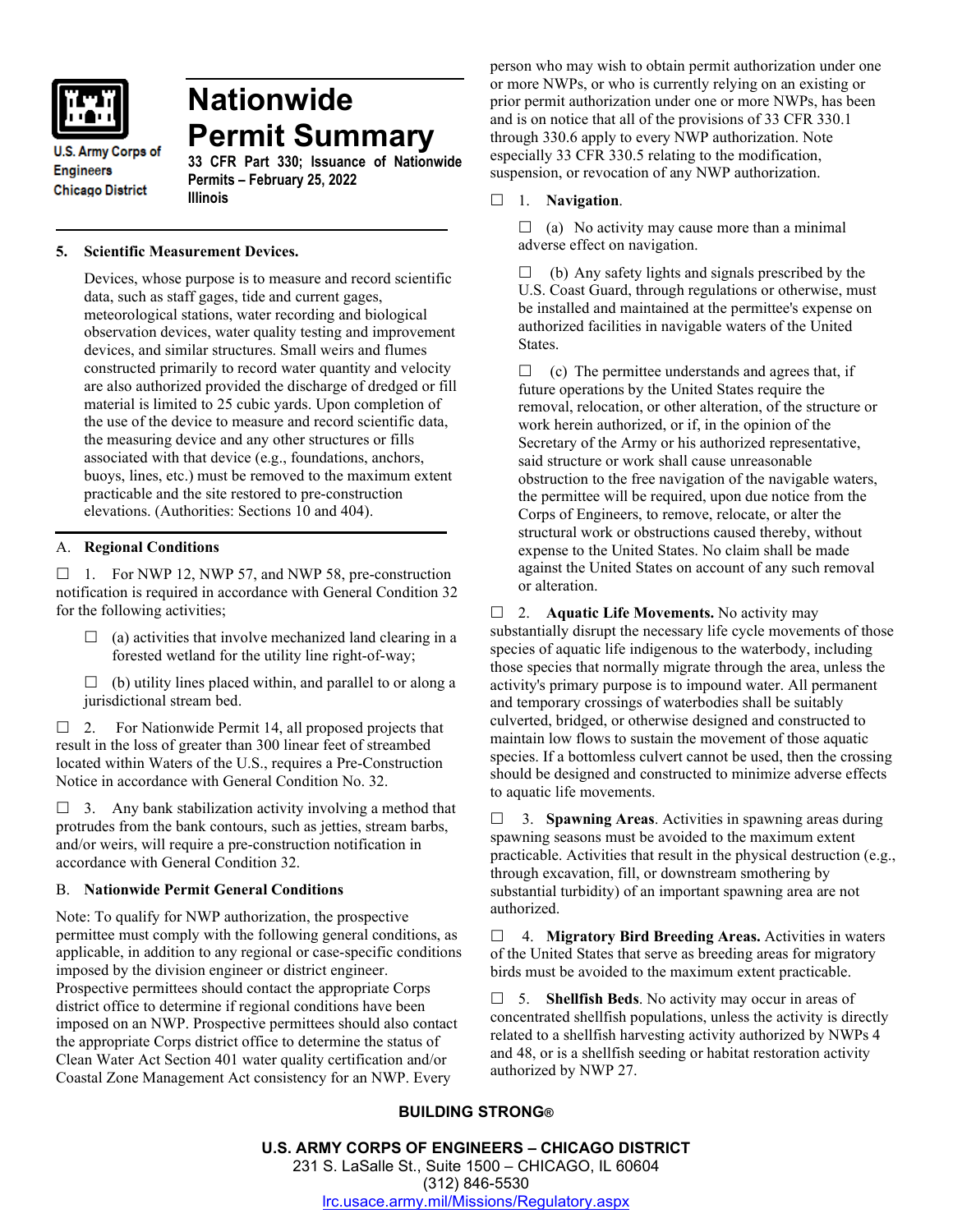

# **Nationwide Permit Summary**

**U.S. Army Corps of Engineers Chicago District** 

# **33 CFR Part 330; Issuance of Nationwide Permits – February 25, 2022 Illinois**

# **5. Scientific Measurement Devices.**

Devices, whose purpose is to measure and record scientific data, such as staff gages, tide and current gages, meteorological stations, water recording and biological observation devices, water quality testing and improvement devices, and similar structures. Small weirs and flumes constructed primarily to record water quantity and velocity are also authorized provided the discharge of dredged or fill material is limited to 25 cubic yards. Upon completion of the use of the device to measure and record scientific data, the measuring device and any other structures or fills associated with that device (e.g., foundations, anchors, buoys, lines, etc.) must be removed to the maximum extent practicable and the site restored to pre-construction elevations. (Authorities: Sections 10 and 404).

# A. **Regional Conditions**

 $\Box$  1. For NWP 12, NWP 57, and NWP 58, pre-construction notification is required in accordance with General Condition 32 for the following activities;

- $\Box$  (a) activities that involve mechanized land clearing in a forested wetland for the utility line right-of-way;
- $\Box$  (b) utility lines placed within, and parallel to or along a jurisdictional stream bed.

 $\Box$  2. For Nationwide Permit 14, all proposed projects that result in the loss of greater than 300 linear feet of streambed located within Waters of the U.S., requires a Pre-Construction Notice in accordance with General Condition No. 32.

 $\Box$  3. Any bank stabilization activity involving a method that protrudes from the bank contours, such as jetties, stream barbs, and/or weirs, will require a pre-construction notification in accordance with General Condition 32.

# B. **Nationwide Permit General Conditions**

Note: To qualify for NWP authorization, the prospective permittee must comply with the following general conditions, as applicable, in addition to any regional or case-specific conditions imposed by the division engineer or district engineer. Prospective permittees should contact the appropriate Corps district office to determine if regional conditions have been imposed on an NWP. Prospective permittees should also contact the appropriate Corps district office to determine the status of Clean Water Act Section 401 water quality certification and/or Coastal Zone Management Act consistency for an NWP. Every

person who may wish to obtain permit authorization under one or more NWPs, or who is currently relying on an existing or prior permit authorization under one or more NWPs, has been and is on notice that all of the provisions of 33 CFR 330.1 through 330.6 apply to every NWP authorization. Note especially 33 CFR 330.5 relating to the modification, suspension, or revocation of any NWP authorization.

# 1. **Navigation**.

 $\Box$  (a) No activity may cause more than a minimal adverse effect on navigation.

 $\Box$  (b) Any safety lights and signals prescribed by the U.S. Coast Guard, through regulations or otherwise, must be installed and maintained at the permittee's expense on authorized facilities in navigable waters of the United States.

 $\Box$  (c) The permittee understands and agrees that, if future operations by the United States require the removal, relocation, or other alteration, of the structure or work herein authorized, or if, in the opinion of the Secretary of the Army or his authorized representative, said structure or work shall cause unreasonable obstruction to the free navigation of the navigable waters, the permittee will be required, upon due notice from the Corps of Engineers, to remove, relocate, or alter the structural work or obstructions caused thereby, without expense to the United States. No claim shall be made against the United States on account of any such removal or alteration.

□ 2. **Aquatic Life Movements.** No activity may substantially disrupt the necessary life cycle movements of those species of aquatic life indigenous to the waterbody, including those species that normally migrate through the area, unless the activity's primary purpose is to impound water. All permanent and temporary crossings of waterbodies shall be suitably culverted, bridged, or otherwise designed and constructed to maintain low flows to sustain the movement of those aquatic species. If a bottomless culvert cannot be used, then the crossing should be designed and constructed to minimize adverse effects to aquatic life movements.

 3. **Spawning Areas**. Activities in spawning areas during spawning seasons must be avoided to the maximum extent practicable. Activities that result in the physical destruction (e.g., through excavation, fill, or downstream smothering by substantial turbidity) of an important spawning area are not authorized.

 4. **Migratory Bird Breeding Areas.** Activities in waters of the United States that serve as breeding areas for migratory birds must be avoided to the maximum extent practicable.

 5. **Shellfish Beds**. No activity may occur in areas of concentrated shellfish populations, unless the activity is directly related to a shellfish harvesting activity authorized by NWPs 4 and 48, or is a shellfish seeding or habitat restoration activity authorized by NWP 27.

# **BUILDING STRONG®**

**U.S. ARMY CORPS OF ENGINEERS – CHICAGO DISTRICT** 231 S. LaSalle St., Suite 1500 – CHICAGO, IL 60604 (312) 846-5530 [lrc.usace.army.mil/Missions/Regulatory.aspx](https://www.lrc.usace.army.mil/Missions/Regulatory.aspx)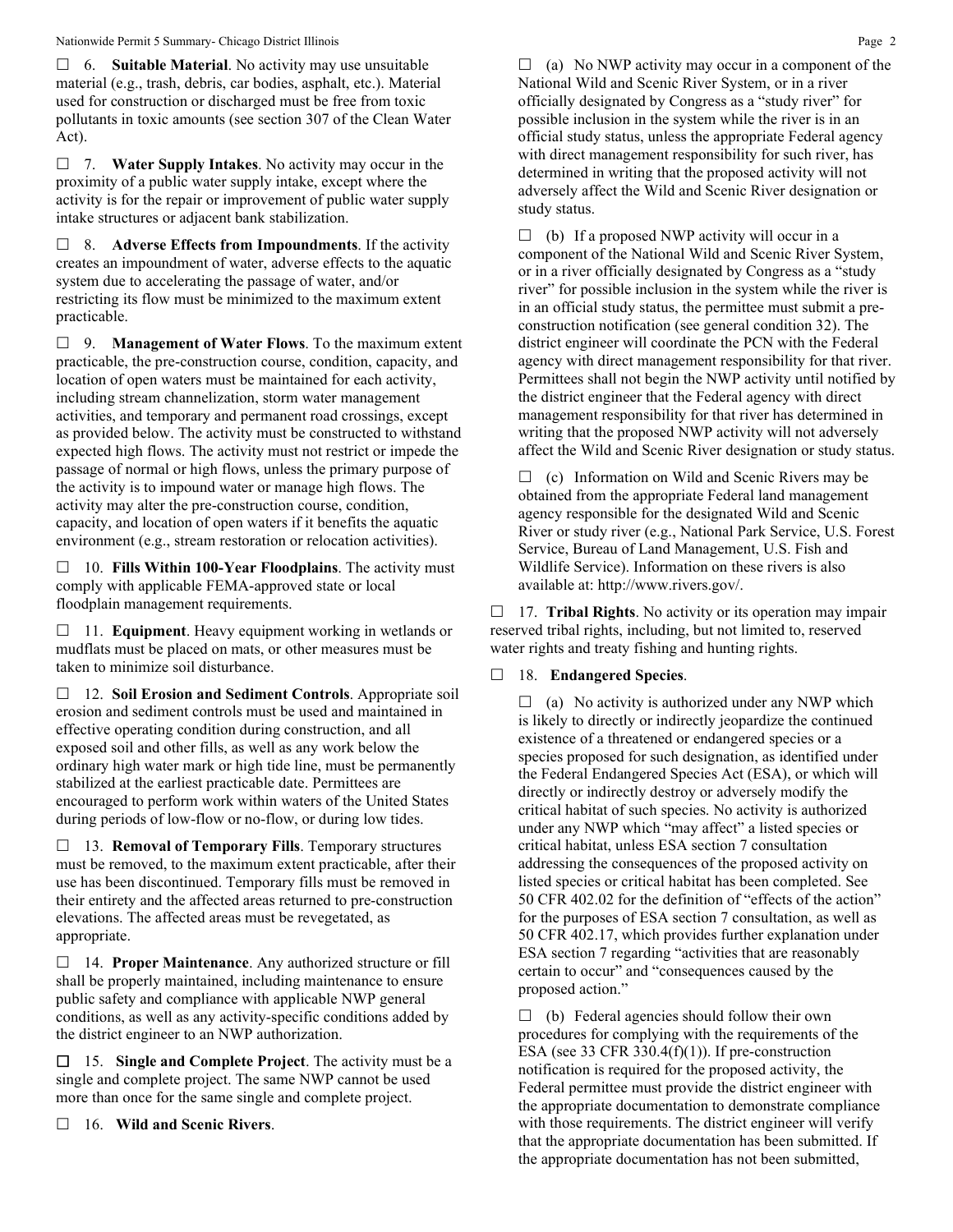6. **Suitable Material**. No activity may use unsuitable material (e.g., trash, debris, car bodies, asphalt, etc.). Material used for construction or discharged must be free from toxic pollutants in toxic amounts (see section 307 of the Clean Water Act).

 7. **Water Supply Intakes**. No activity may occur in the proximity of a public water supply intake, except where the activity is for the repair or improvement of public water supply intake structures or adjacent bank stabilization.

 8. **Adverse Effects from Impoundments**. If the activity creates an impoundment of water, adverse effects to the aquatic system due to accelerating the passage of water, and/or restricting its flow must be minimized to the maximum extent practicable.

 9. **Management of Water Flows**. To the maximum extent practicable, the pre-construction course, condition, capacity, and location of open waters must be maintained for each activity, including stream channelization, storm water management activities, and temporary and permanent road crossings, except as provided below. The activity must be constructed to withstand expected high flows. The activity must not restrict or impede the passage of normal or high flows, unless the primary purpose of the activity is to impound water or manage high flows. The activity may alter the pre-construction course, condition, capacity, and location of open waters if it benefits the aquatic environment (e.g., stream restoration or relocation activities).

 10. **Fills Within 100-Year Floodplains**. The activity must comply with applicable FEMA-approved state or local floodplain management requirements.

□ 11. **Equipment**. Heavy equipment working in wetlands or mudflats must be placed on mats, or other measures must be taken to minimize soil disturbance.

 12. **Soil Erosion and Sediment Controls**. Appropriate soil erosion and sediment controls must be used and maintained in effective operating condition during construction, and all exposed soil and other fills, as well as any work below the ordinary high water mark or high tide line, must be permanently stabilized at the earliest practicable date. Permittees are encouraged to perform work within waters of the United States during periods of low-flow or no-flow, or during low tides.

 13. **Removal of Temporary Fills**. Temporary structures must be removed, to the maximum extent practicable, after their use has been discontinued. Temporary fills must be removed in their entirety and the affected areas returned to pre-construction elevations. The affected areas must be revegetated, as appropriate.

 14. **Proper Maintenance**. Any authorized structure or fill shall be properly maintained, including maintenance to ensure public safety and compliance with applicable NWP general conditions, as well as any activity-specific conditions added by the district engineer to an NWP authorization.

 15. **Single and Complete Project**. The activity must be a single and complete project. The same NWP cannot be used more than once for the same single and complete project.

16. **Wild and Scenic Rivers**.

 $\Box$  (a) No NWP activity may occur in a component of the National Wild and Scenic River System, or in a river officially designated by Congress as a "study river" for possible inclusion in the system while the river is in an official study status, unless the appropriate Federal agency with direct management responsibility for such river, has determined in writing that the proposed activity will not adversely affect the Wild and Scenic River designation or study status.

 $\Box$  (b) If a proposed NWP activity will occur in a component of the National Wild and Scenic River System, or in a river officially designated by Congress as a "study river" for possible inclusion in the system while the river is in an official study status, the permittee must submit a preconstruction notification (see general condition 32). The district engineer will coordinate the PCN with the Federal agency with direct management responsibility for that river. Permittees shall not begin the NWP activity until notified by the district engineer that the Federal agency with direct management responsibility for that river has determined in writing that the proposed NWP activity will not adversely affect the Wild and Scenic River designation or study status.

 $\Box$  (c) Information on Wild and Scenic Rivers may be obtained from the appropriate Federal land management agency responsible for the designated Wild and Scenic River or study river (e.g., National Park Service, U.S. Forest Service, Bureau of Land Management, U.S. Fish and Wildlife Service). Information on these rivers is also available at: http://www.rivers.gov/.

 17. **Tribal Rights**. No activity or its operation may impair reserved tribal rights, including, but not limited to, reserved water rights and treaty fishing and hunting rights.

# 18. **Endangered Species**.

 $\Box$  (a) No activity is authorized under any NWP which is likely to directly or indirectly jeopardize the continued existence of a threatened or endangered species or a species proposed for such designation, as identified under the Federal Endangered Species Act (ESA), or which will directly or indirectly destroy or adversely modify the critical habitat of such species. No activity is authorized under any NWP which "may affect" a listed species or critical habitat, unless ESA section 7 consultation addressing the consequences of the proposed activity on listed species or critical habitat has been completed. See 50 CFR 402.02 for the definition of "effects of the action" for the purposes of ESA section 7 consultation, as well as 50 CFR 402.17, which provides further explanation under ESA section 7 regarding "activities that are reasonably certain to occur" and "consequences caused by the proposed action."

 $\Box$  (b) Federal agencies should follow their own procedures for complying with the requirements of the ESA (see 33 CFR 330.4(f)(1)). If pre-construction notification is required for the proposed activity, the Federal permittee must provide the district engineer with the appropriate documentation to demonstrate compliance with those requirements. The district engineer will verify that the appropriate documentation has been submitted. If the appropriate documentation has not been submitted,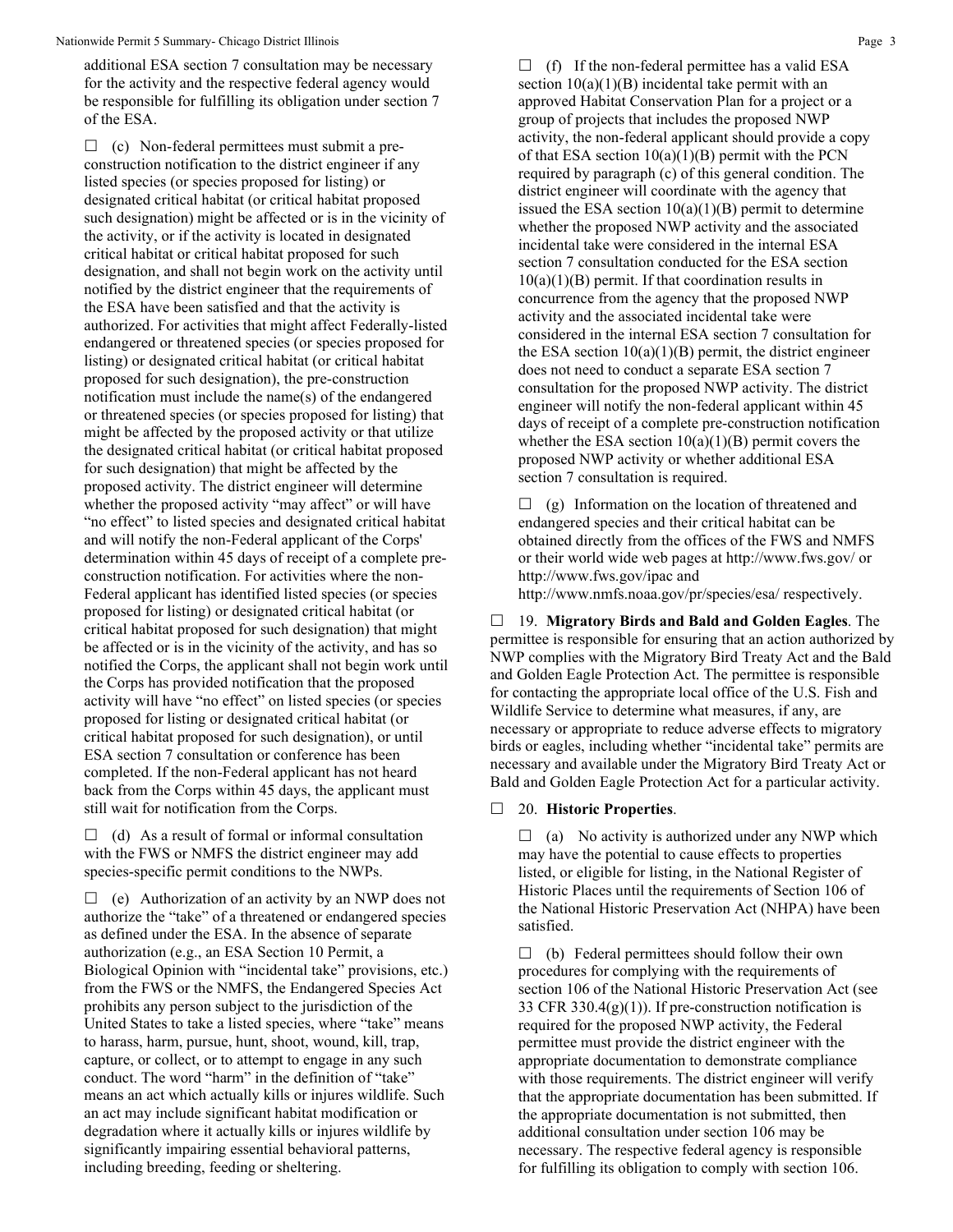additional ESA section 7 consultation may be necessary for the activity and the respective federal agency would be responsible for fulfilling its obligation under section 7 of the ESA.

 $\Box$  (c) Non-federal permittees must submit a preconstruction notification to the district engineer if any listed species (or species proposed for listing) or designated critical habitat (or critical habitat proposed such designation) might be affected or is in the vicinity of the activity, or if the activity is located in designated critical habitat or critical habitat proposed for such designation, and shall not begin work on the activity until notified by the district engineer that the requirements of the ESA have been satisfied and that the activity is authorized. For activities that might affect Federally-listed endangered or threatened species (or species proposed for listing) or designated critical habitat (or critical habitat proposed for such designation), the pre-construction notification must include the name(s) of the endangered or threatened species (or species proposed for listing) that might be affected by the proposed activity or that utilize the designated critical habitat (or critical habitat proposed for such designation) that might be affected by the proposed activity. The district engineer will determine whether the proposed activity "may affect" or will have "no effect" to listed species and designated critical habitat and will notify the non-Federal applicant of the Corps' determination within 45 days of receipt of a complete preconstruction notification. For activities where the non-Federal applicant has identified listed species (or species proposed for listing) or designated critical habitat (or critical habitat proposed for such designation) that might be affected or is in the vicinity of the activity, and has so notified the Corps, the applicant shall not begin work until the Corps has provided notification that the proposed activity will have "no effect" on listed species (or species proposed for listing or designated critical habitat (or critical habitat proposed for such designation), or until ESA section 7 consultation or conference has been completed. If the non-Federal applicant has not heard back from the Corps within 45 days, the applicant must still wait for notification from the Corps.

 $\Box$  (d) As a result of formal or informal consultation with the FWS or NMFS the district engineer may add species-specific permit conditions to the NWPs.

 $\Box$  (e) Authorization of an activity by an NWP does not authorize the "take" of a threatened or endangered species as defined under the ESA. In the absence of separate authorization (e.g., an ESA Section 10 Permit, a Biological Opinion with "incidental take" provisions, etc.) from the FWS or the NMFS, the Endangered Species Act prohibits any person subject to the jurisdiction of the United States to take a listed species, where "take" means to harass, harm, pursue, hunt, shoot, wound, kill, trap, capture, or collect, or to attempt to engage in any such conduct. The word "harm" in the definition of "take" means an act which actually kills or injures wildlife. Such an act may include significant habitat modification or degradation where it actually kills or injures wildlife by significantly impairing essential behavioral patterns, including breeding, feeding or sheltering.

 $\Box$  (f) If the non-federal permittee has a valid ESA section  $10(a)(1)(B)$  incidental take permit with an approved Habitat Conservation Plan for a project or a group of projects that includes the proposed NWP activity, the non-federal applicant should provide a copy of that ESA section  $10(a)(1)(B)$  permit with the PCN required by paragraph (c) of this general condition. The district engineer will coordinate with the agency that issued the ESA section  $10(a)(1)(B)$  permit to determine whether the proposed NWP activity and the associated incidental take were considered in the internal ESA section 7 consultation conducted for the ESA section  $10(a)(1)(B)$  permit. If that coordination results in concurrence from the agency that the proposed NWP activity and the associated incidental take were considered in the internal ESA section 7 consultation for the ESA section  $10(a)(1)(B)$  permit, the district engineer does not need to conduct a separate ESA section 7 consultation for the proposed NWP activity. The district engineer will notify the non-federal applicant within 45 days of receipt of a complete pre-construction notification whether the ESA section  $10(a)(1)(B)$  permit covers the proposed NWP activity or whether additional ESA section 7 consultation is required.

 $\Box$  (g) Information on the location of threatened and endangered species and their critical habitat can be obtained directly from the offices of the FWS and NMFS or their world wide web pages at http://www.fws.gov/ or http://www.fws.gov/ipac and http://www.nmfs.noaa.gov/pr/species/esa/ respectively.

 19. **Migratory Birds and Bald and Golden Eagles**. The permittee is responsible for ensuring that an action authorized by NWP complies with the Migratory Bird Treaty Act and the Bald and Golden Eagle Protection Act. The permittee is responsible for contacting the appropriate local office of the U.S. Fish and Wildlife Service to determine what measures, if any, are necessary or appropriate to reduce adverse effects to migratory birds or eagles, including whether "incidental take" permits are necessary and available under the Migratory Bird Treaty Act or Bald and Golden Eagle Protection Act for a particular activity.

# 20. **Historic Properties**.

 $\Box$  (a) No activity is authorized under any NWP which may have the potential to cause effects to properties listed, or eligible for listing, in the National Register of Historic Places until the requirements of Section 106 of the National Historic Preservation Act (NHPA) have been satisfied.

 $\Box$  (b) Federal permittees should follow their own procedures for complying with the requirements of section 106 of the National Historic Preservation Act (see 33 CFR 330.4 $(g)(1)$ ). If pre-construction notification is required for the proposed NWP activity, the Federal permittee must provide the district engineer with the appropriate documentation to demonstrate compliance with those requirements. The district engineer will verify that the appropriate documentation has been submitted. If the appropriate documentation is not submitted, then additional consultation under section 106 may be necessary. The respective federal agency is responsible for fulfilling its obligation to comply with section 106.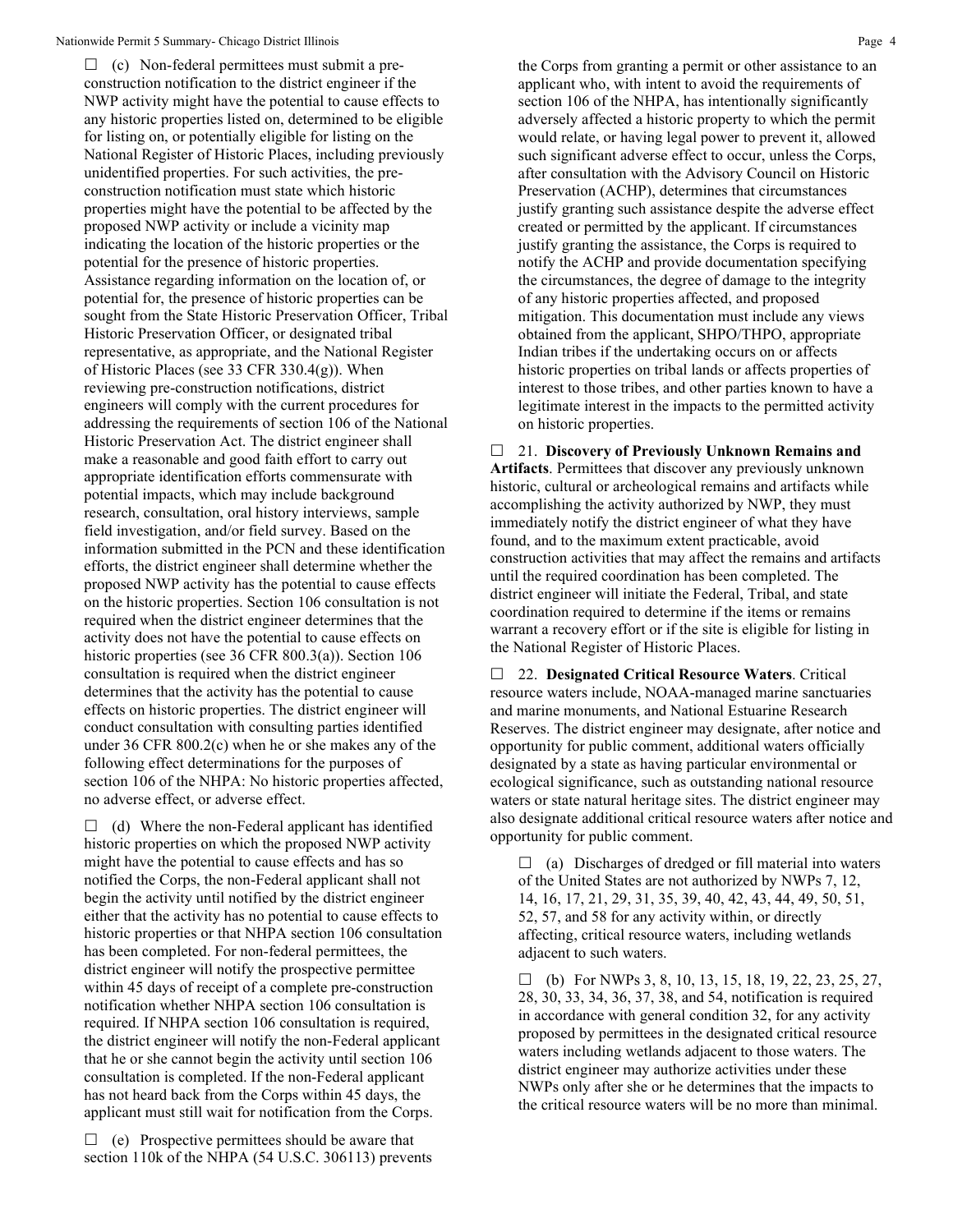$\Box$  (c) Non-federal permittees must submit a preconstruction notification to the district engineer if the NWP activity might have the potential to cause effects to any historic properties listed on, determined to be eligible for listing on, or potentially eligible for listing on the National Register of Historic Places, including previously unidentified properties. For such activities, the preconstruction notification must state which historic properties might have the potential to be affected by the proposed NWP activity or include a vicinity map indicating the location of the historic properties or the potential for the presence of historic properties. Assistance regarding information on the location of, or potential for, the presence of historic properties can be sought from the State Historic Preservation Officer, Tribal Historic Preservation Officer, or designated tribal representative, as appropriate, and the National Register of Historic Places (see 33 CFR 330.4(g)). When reviewing pre-construction notifications, district engineers will comply with the current procedures for addressing the requirements of section 106 of the National Historic Preservation Act. The district engineer shall make a reasonable and good faith effort to carry out appropriate identification efforts commensurate with potential impacts, which may include background research, consultation, oral history interviews, sample field investigation, and/or field survey. Based on the information submitted in the PCN and these identification efforts, the district engineer shall determine whether the proposed NWP activity has the potential to cause effects on the historic properties. Section 106 consultation is not required when the district engineer determines that the activity does not have the potential to cause effects on historic properties (see 36 CFR 800.3(a)). Section 106 consultation is required when the district engineer determines that the activity has the potential to cause effects on historic properties. The district engineer will conduct consultation with consulting parties identified under 36 CFR 800.2(c) when he or she makes any of the following effect determinations for the purposes of section 106 of the NHPA: No historic properties affected, no adverse effect, or adverse effect.

 $\Box$  (d) Where the non-Federal applicant has identified historic properties on which the proposed NWP activity might have the potential to cause effects and has so notified the Corps, the non-Federal applicant shall not begin the activity until notified by the district engineer either that the activity has no potential to cause effects to historic properties or that NHPA section 106 consultation has been completed. For non-federal permittees, the district engineer will notify the prospective permittee within 45 days of receipt of a complete pre-construction notification whether NHPA section 106 consultation is required. If NHPA section 106 consultation is required, the district engineer will notify the non-Federal applicant that he or she cannot begin the activity until section 106 consultation is completed. If the non-Federal applicant has not heard back from the Corps within 45 days, the applicant must still wait for notification from the Corps.

 $\Box$  (e) Prospective permittees should be aware that section 110k of the NHPA (54 U.S.C. 306113) prevents the Corps from granting a permit or other assistance to an applicant who, with intent to avoid the requirements of section 106 of the NHPA, has intentionally significantly adversely affected a historic property to which the permit would relate, or having legal power to prevent it, allowed such significant adverse effect to occur, unless the Corps, after consultation with the Advisory Council on Historic Preservation (ACHP), determines that circumstances justify granting such assistance despite the adverse effect created or permitted by the applicant. If circumstances justify granting the assistance, the Corps is required to notify the ACHP and provide documentation specifying the circumstances, the degree of damage to the integrity of any historic properties affected, and proposed mitigation. This documentation must include any views obtained from the applicant, SHPO/THPO, appropriate Indian tribes if the undertaking occurs on or affects historic properties on tribal lands or affects properties of interest to those tribes, and other parties known to have a legitimate interest in the impacts to the permitted activity on historic properties.

 21. **Discovery of Previously Unknown Remains and Artifacts**. Permittees that discover any previously unknown historic, cultural or archeological remains and artifacts while accomplishing the activity authorized by NWP, they must immediately notify the district engineer of what they have found, and to the maximum extent practicable, avoid construction activities that may affect the remains and artifacts until the required coordination has been completed. The district engineer will initiate the Federal, Tribal, and state coordination required to determine if the items or remains warrant a recovery effort or if the site is eligible for listing in the National Register of Historic Places.

 22. **Designated Critical Resource Waters**. Critical resource waters include, NOAA-managed marine sanctuaries and marine monuments, and National Estuarine Research Reserves. The district engineer may designate, after notice and opportunity for public comment, additional waters officially designated by a state as having particular environmental or ecological significance, such as outstanding national resource waters or state natural heritage sites. The district engineer may also designate additional critical resource waters after notice and opportunity for public comment.

 $\Box$  (a) Discharges of dredged or fill material into waters of the United States are not authorized by NWPs 7, 12, 14, 16, 17, 21, 29, 31, 35, 39, 40, 42, 43, 44, 49, 50, 51, 52, 57, and 58 for any activity within, or directly affecting, critical resource waters, including wetlands adjacent to such waters.

 $\Box$  (b) For NWPs 3, 8, 10, 13, 15, 18, 19, 22, 23, 25, 27, 28, 30, 33, 34, 36, 37, 38, and 54, notification is required in accordance with general condition 32, for any activity proposed by permittees in the designated critical resource waters including wetlands adjacent to those waters. The district engineer may authorize activities under these NWPs only after she or he determines that the impacts to the critical resource waters will be no more than minimal.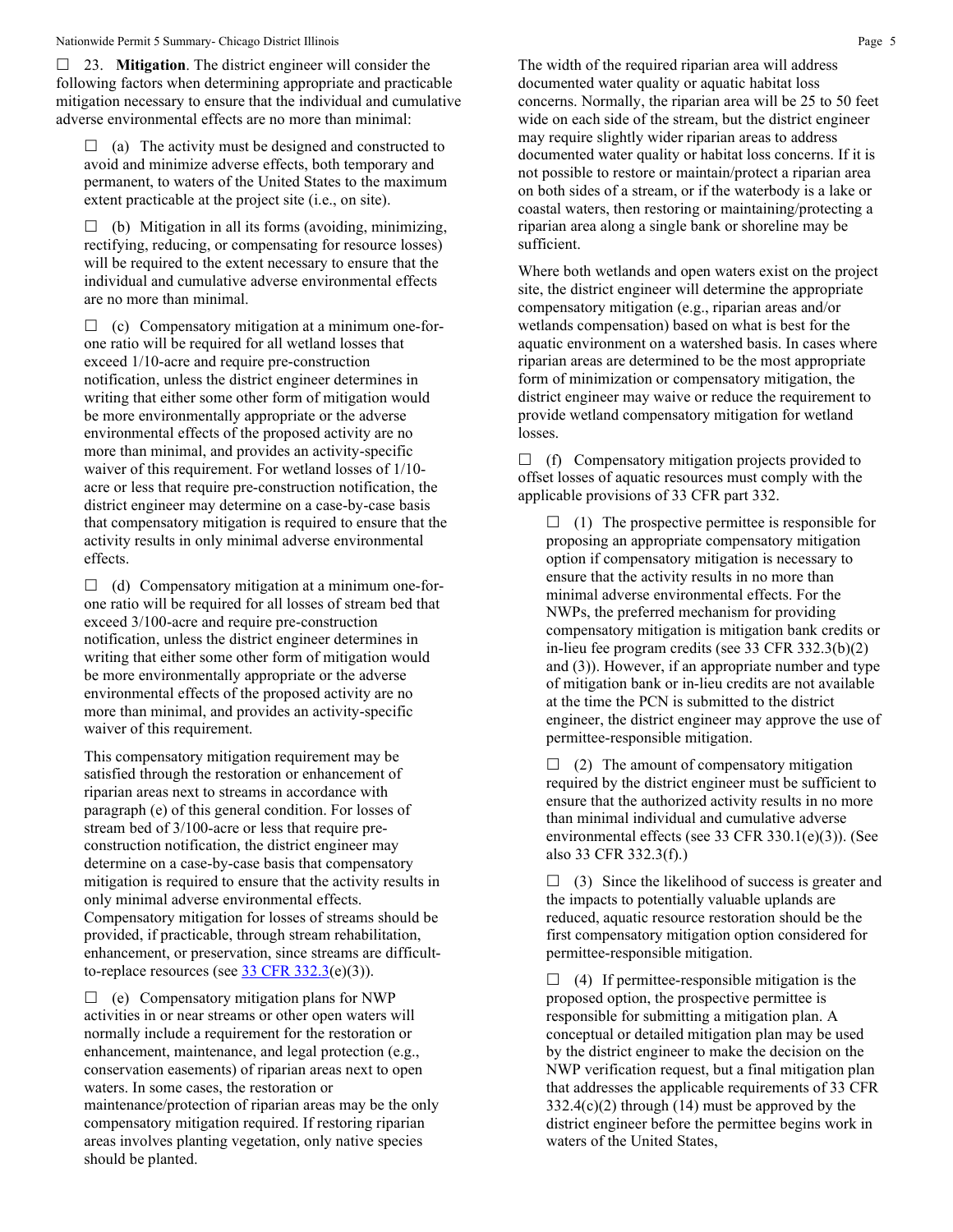#### Nationwide Permit 5 Summary- Chicago District Illinois **Page 5 Page 5**

 23. **Mitigation**. The district engineer will consider the following factors when determining appropriate and practicable mitigation necessary to ensure that the individual and cumulative adverse environmental effects are no more than minimal:

 $\Box$  (a) The activity must be designed and constructed to avoid and minimize adverse effects, both temporary and permanent, to waters of the United States to the maximum extent practicable at the project site (i.e., on site).

 $\Box$  (b) Mitigation in all its forms (avoiding, minimizing, rectifying, reducing, or compensating for resource losses) will be required to the extent necessary to ensure that the individual and cumulative adverse environmental effects are no more than minimal.

 $\Box$  (c) Compensatory mitigation at a minimum one-forone ratio will be required for all wetland losses that exceed 1/10-acre and require pre-construction notification, unless the district engineer determines in writing that either some other form of mitigation would be more environmentally appropriate or the adverse environmental effects of the proposed activity are no more than minimal, and provides an activity-specific waiver of this requirement. For wetland losses of 1/10 acre or less that require pre-construction notification, the district engineer may determine on a case-by-case basis that compensatory mitigation is required to ensure that the activity results in only minimal adverse environmental effects.

 $\Box$  (d) Compensatory mitigation at a minimum one-forone ratio will be required for all losses of stream bed that exceed 3/100-acre and require pre-construction notification, unless the district engineer determines in writing that either some other form of mitigation would be more environmentally appropriate or the adverse environmental effects of the proposed activity are no more than minimal, and provides an activity-specific waiver of this requirement.

This compensatory mitigation requirement may be satisfied through the restoration or enhancement of riparian areas next to streams in accordance with paragraph (e) of this general condition. For losses of stream bed of 3/100-acre or less that require preconstruction notification, the district engineer may determine on a case-by-case basis that compensatory mitigation is required to ensure that the activity results in only minimal adverse environmental effects. Compensatory mitigation for losses of streams should be provided, if practicable, through stream rehabilitation, enhancement, or preservation, since streams are difficultto-replace resources (see  $33 \text{ CFR } 332.3(e)(3)$ ).

 $\Box$  (e) Compensatory mitigation plans for NWP activities in or near streams or other open waters will normally include a requirement for the restoration or enhancement, maintenance, and legal protection (e.g., conservation easements) of riparian areas next to open waters. In some cases, the restoration or maintenance/protection of riparian areas may be the only compensatory mitigation required. If restoring riparian areas involves planting vegetation, only native species should be planted.

The width of the required riparian area will address documented water quality or aquatic habitat loss concerns. Normally, the riparian area will be 25 to 50 feet wide on each side of the stream, but the district engineer may require slightly wider riparian areas to address documented water quality or habitat loss concerns. If it is not possible to restore or maintain/protect a riparian area on both sides of a stream, or if the waterbody is a lake or coastal waters, then restoring or maintaining/protecting a riparian area along a single bank or shoreline may be sufficient.

Where both wetlands and open waters exist on the project site, the district engineer will determine the appropriate compensatory mitigation (e.g., riparian areas and/or wetlands compensation) based on what is best for the aquatic environment on a watershed basis. In cases where riparian areas are determined to be the most appropriate form of minimization or compensatory mitigation, the district engineer may waive or reduce the requirement to provide wetland compensatory mitigation for wetland losses.

 $\Box$  (f) Compensatory mitigation projects provided to offset losses of aquatic resources must comply with the applicable provisions of 33 CFR part 332.

 $\Box$  (1) The prospective permittee is responsible for proposing an appropriate compensatory mitigation option if compensatory mitigation is necessary to ensure that the activity results in no more than minimal adverse environmental effects. For the NWPs, the preferred mechanism for providing compensatory mitigation is mitigation bank credits or in-lieu fee program credits (see 33 CFR 332.3(b)(2) and (3)). However, if an appropriate number and type of mitigation bank or in-lieu credits are not available at the time the PCN is submitted to the district engineer, the district engineer may approve the use of permittee-responsible mitigation.

 $\Box$  (2) The amount of compensatory mitigation required by the district engineer must be sufficient to ensure that the authorized activity results in no more than minimal individual and cumulative adverse environmental effects (see 33 CFR 330.1(e)(3)). (See also 33 CFR 332.3(f).)

 $\Box$  (3) Since the likelihood of success is greater and the impacts to potentially valuable uplands are reduced, aquatic resource restoration should be the first compensatory mitigation option considered for permittee-responsible mitigation.

 $\Box$  (4) If permittee-responsible mitigation is the proposed option, the prospective permittee is responsible for submitting a mitigation plan. A conceptual or detailed mitigation plan may be used by the district engineer to make the decision on the NWP verification request, but a final mitigation plan that addresses the applicable requirements of 33 CFR  $332.4(c)(2)$  through (14) must be approved by the district engineer before the permittee begins work in waters of the United States,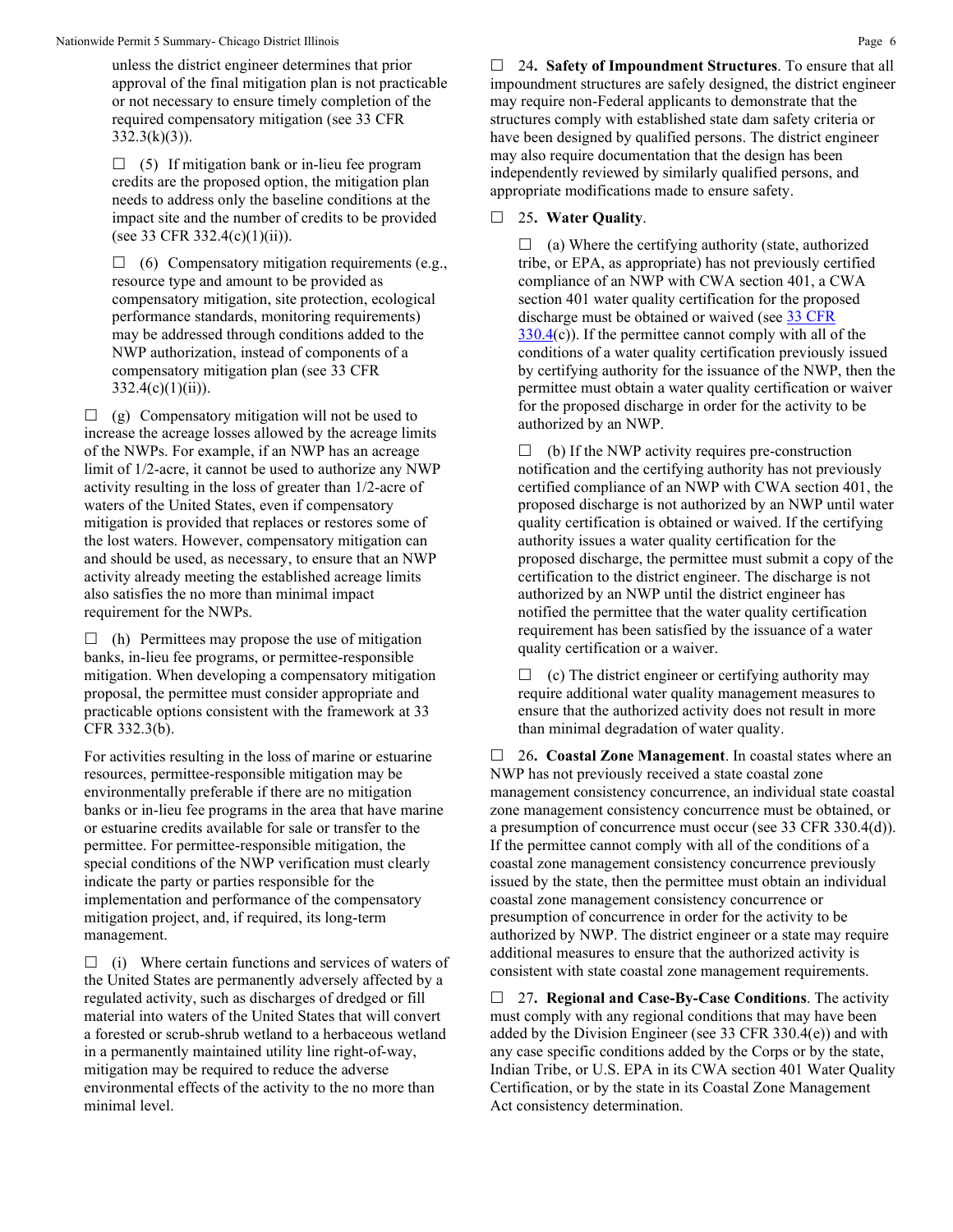unless the district engineer determines that prior approval of the final mitigation plan is not practicable or not necessary to ensure timely completion of the required compensatory mitigation (see 33 CFR  $332.3(k)(3)$ ).

 $\Box$  (5) If mitigation bank or in-lieu fee program credits are the proposed option, the mitigation plan needs to address only the baseline conditions at the impact site and the number of credits to be provided (see 33 CFR 332.4(c)(1)(ii)).

 $\Box$  (6) Compensatory mitigation requirements (e.g., resource type and amount to be provided as compensatory mitigation, site protection, ecological performance standards, monitoring requirements) may be addressed through conditions added to the NWP authorization, instead of components of a compensatory mitigation plan (see 33 CFR  $332.4(c)(1)(ii)$ .

 $\Box$  (g) Compensatory mitigation will not be used to increase the acreage losses allowed by the acreage limits of the NWPs. For example, if an NWP has an acreage limit of 1/2-acre, it cannot be used to authorize any NWP activity resulting in the loss of greater than 1/2-acre of waters of the United States, even if compensatory mitigation is provided that replaces or restores some of the lost waters. However, compensatory mitigation can and should be used, as necessary, to ensure that an NWP activity already meeting the established acreage limits also satisfies the no more than minimal impact requirement for the NWPs.

 $\Box$  (h) Permittees may propose the use of mitigation banks, in-lieu fee programs, or permittee-responsible mitigation. When developing a compensatory mitigation proposal, the permittee must consider appropriate and practicable options consistent with the framework at 33 CFR 332.3(b).

For activities resulting in the loss of marine or estuarine resources, permittee-responsible mitigation may be environmentally preferable if there are no mitigation banks or in-lieu fee programs in the area that have marine or estuarine credits available for sale or transfer to the permittee. For permittee-responsible mitigation, the special conditions of the NWP verification must clearly indicate the party or parties responsible for the implementation and performance of the compensatory mitigation project, and, if required, its long-term management.

 $\Box$  (i) Where certain functions and services of waters of the United States are permanently adversely affected by a regulated activity, such as discharges of dredged or fill material into waters of the United States that will convert a forested or scrub-shrub wetland to a herbaceous wetland in a permanently maintained utility line right-of-way, mitigation may be required to reduce the adverse environmental effects of the activity to the no more than minimal level.

 24**. Safety of Impoundment Structures**. To ensure that all impoundment structures are safely designed, the district engineer may require non-Federal applicants to demonstrate that the structures comply with established state dam safety criteria or have been designed by qualified persons. The district engineer may also require documentation that the design has been independently reviewed by similarly qualified persons, and appropriate modifications made to ensure safety.

#### 25**. Water Quality**.

 $\Box$  (a) Where the certifying authority (state, authorized tribe, or EPA, as appropriate) has not previously certified compliance of an NWP with CWA section 401, a CWA section 401 water quality certification for the proposed discharge must be obtained or waived (see 33 CFR  $330.4(c)$  $330.4(c)$ ). If the permittee cannot comply with all of the conditions of a water quality certification previously issued by certifying authority for the issuance of the NWP, then the permittee must obtain a water quality certification or waiver for the proposed discharge in order for the activity to be authorized by an NWP.

 $\Box$  (b) If the NWP activity requires pre-construction notification and the certifying authority has not previously certified compliance of an NWP with CWA section 401, the proposed discharge is not authorized by an NWP until water quality certification is obtained or waived. If the certifying authority issues a water quality certification for the proposed discharge, the permittee must submit a copy of the certification to the district engineer. The discharge is not authorized by an NWP until the district engineer has notified the permittee that the water quality certification requirement has been satisfied by the issuance of a water quality certification or a waiver.

 $\Box$  (c) The district engineer or certifying authority may require additional water quality management measures to ensure that the authorized activity does not result in more than minimal degradation of water quality.

 26**. Coastal Zone Management**. In coastal states where an NWP has not previously received a state coastal zone management consistency concurrence, an individual state coastal zone management consistency concurrence must be obtained, or a presumption of concurrence must occur (see 33 CFR 330.4(d)). If the permittee cannot comply with all of the conditions of a coastal zone management consistency concurrence previously issued by the state, then the permittee must obtain an individual coastal zone management consistency concurrence or presumption of concurrence in order for the activity to be authorized by NWP. The district engineer or a state may require additional measures to ensure that the authorized activity is consistent with state coastal zone management requirements.

 27**. Regional and Case-By-Case Conditions**. The activity must comply with any regional conditions that may have been added by the Division Engineer (see 33 CFR 330.4(e)) and with any case specific conditions added by the Corps or by the state, Indian Tribe, or U.S. EPA in its CWA section 401 Water Quality Certification, or by the state in its Coastal Zone Management Act consistency determination.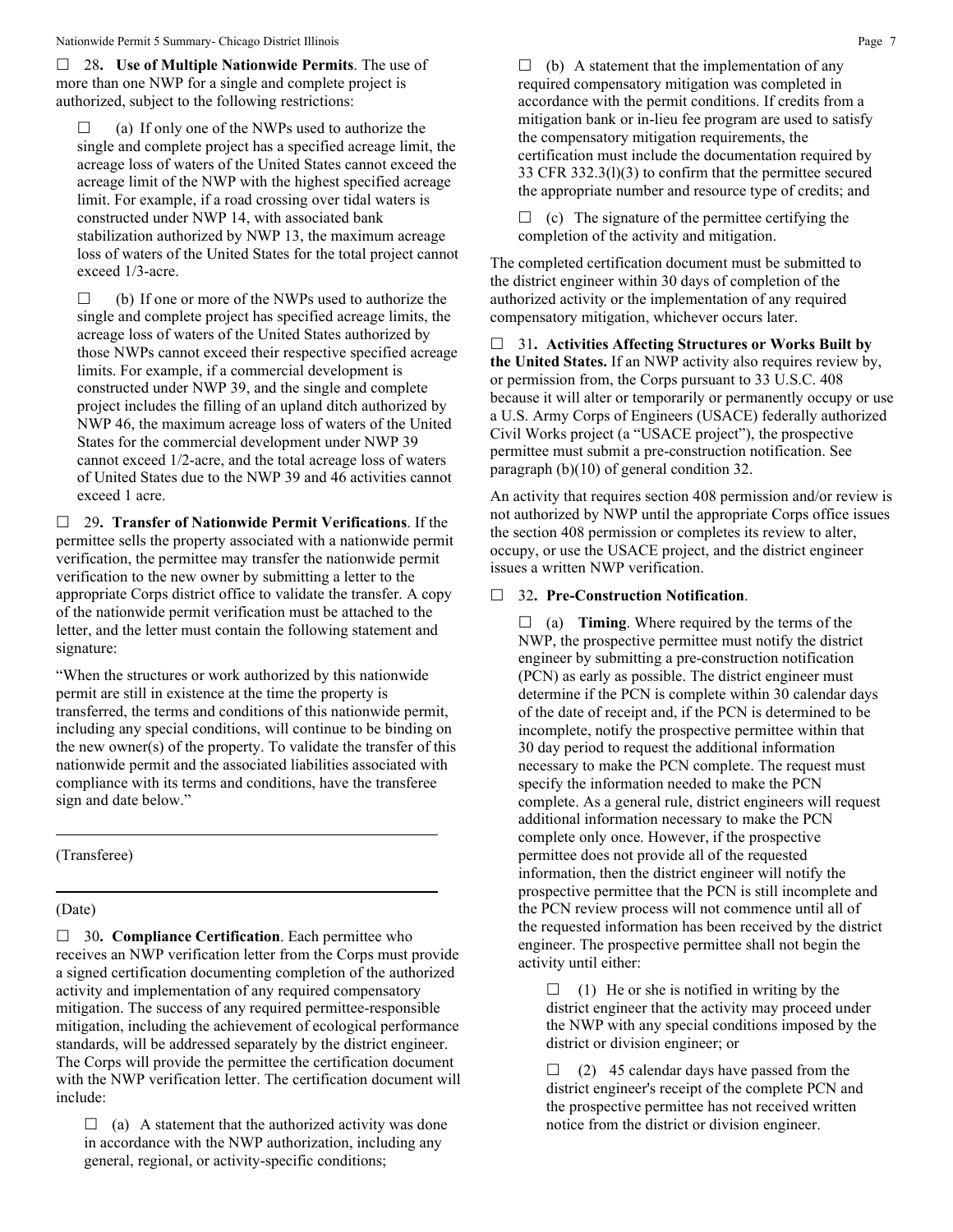28**. Use of Multiple Nationwide Permits**. The use of more than one NWP for a single and complete project is authorized, subject to the following restrictions:

 (a) If only one of the NWPs used to authorize the single and complete project has a specified acreage limit, the acreage loss of waters of the United States cannot exceed the acreage limit of the NWP with the highest specified acreage limit. For example, if a road crossing over tidal waters is constructed under NWP 14, with associated bank stabilization authorized by NWP 13, the maximum acreage loss of waters of the United States for the total project cannot exceed 1/3-acre.

 $\Box$  (b) If one or more of the NWPs used to authorize the single and complete project has specified acreage limits, the acreage loss of waters of the United States authorized by those NWPs cannot exceed their respective specified acreage limits. For example, if a commercial development is constructed under NWP 39, and the single and complete project includes the filling of an upland ditch authorized by NWP 46, the maximum acreage loss of waters of the United States for the commercial development under NWP 39 cannot exceed 1/2-acre, and the total acreage loss of waters of United States due to the NWP 39 and 46 activities cannot exceed 1 acre.

 29**. Transfer of Nationwide Permit Verifications**. If the permittee sells the property associated with a nationwide permit verification, the permittee may transfer the nationwide permit verification to the new owner by submitting a letter to the appropriate Corps district office to validate the transfer. A copy of the nationwide permit verification must be attached to the letter, and the letter must contain the following statement and signature:

"When the structures or work authorized by this nationwide permit are still in existence at the time the property is transferred, the terms and conditions of this nationwide permit, including any special conditions, will continue to be binding on the new owner(s) of the property. To validate the transfer of this nationwide permit and the associated liabilities associated with compliance with its terms and conditions, have the transferee sign and date below."

(Transferee)

# (Date)

□ 30. **Compliance Certification**. Each permittee who receives an NWP verification letter from the Corps must provide a signed certification documenting completion of the authorized activity and implementation of any required compensatory mitigation. The success of any required permittee-responsible mitigation, including the achievement of ecological performance standards, will be addressed separately by the district engineer. The Corps will provide the permittee the certification document with the NWP verification letter. The certification document will include:

 $\Box$  (a) A statement that the authorized activity was done in accordance with the NWP authorization, including any general, regional, or activity-specific conditions;

 $\Box$  (b) A statement that the implementation of any required compensatory mitigation was completed in accordance with the permit conditions. If credits from a mitigation bank or in-lieu fee program are used to satisfy the compensatory mitigation requirements, the certification must include the documentation required by 33 CFR 332.3(l)(3) to confirm that the permittee secured the appropriate number and resource type of credits; and

 $\Box$  (c) The signature of the permittee certifying the completion of the activity and mitigation.

The completed certification document must be submitted to the district engineer within 30 days of completion of the authorized activity or the implementation of any required compensatory mitigation, whichever occurs later.

 31**. Activities Affecting Structures or Works Built by the United States.** If an NWP activity also requires review by, or permission from, the Corps pursuant to 33 U.S.C. 408 because it will alter or temporarily or permanently occupy or use a U.S. Army Corps of Engineers (USACE) federally authorized Civil Works project (a "USACE project"), the prospective permittee must submit a pre-construction notification. See paragraph (b)(10) of general condition 32.

An activity that requires section 408 permission and/or review is not authorized by NWP until the appropriate Corps office issues the section 408 permission or completes its review to alter, occupy, or use the USACE project, and the district engineer issues a written NWP verification.

#### 32**. Pre-Construction Notification**.

 $\Box$  (a) **Timing**. Where required by the terms of the NWP, the prospective permittee must notify the district engineer by submitting a pre-construction notification (PCN) as early as possible. The district engineer must determine if the PCN is complete within 30 calendar days of the date of receipt and, if the PCN is determined to be incomplete, notify the prospective permittee within that 30 day period to request the additional information necessary to make the PCN complete. The request must specify the information needed to make the PCN complete. As a general rule, district engineers will request additional information necessary to make the PCN complete only once. However, if the prospective permittee does not provide all of the requested information, then the district engineer will notify the prospective permittee that the PCN is still incomplete and the PCN review process will not commence until all of the requested information has been received by the district engineer. The prospective permittee shall not begin the activity until either:

 $\Box$  (1) He or she is notified in writing by the district engineer that the activity may proceed under the NWP with any special conditions imposed by the district or division engineer; or

 $\Box$  (2) 45 calendar days have passed from the district engineer's receipt of the complete PCN and the prospective permittee has not received written notice from the district or division engineer.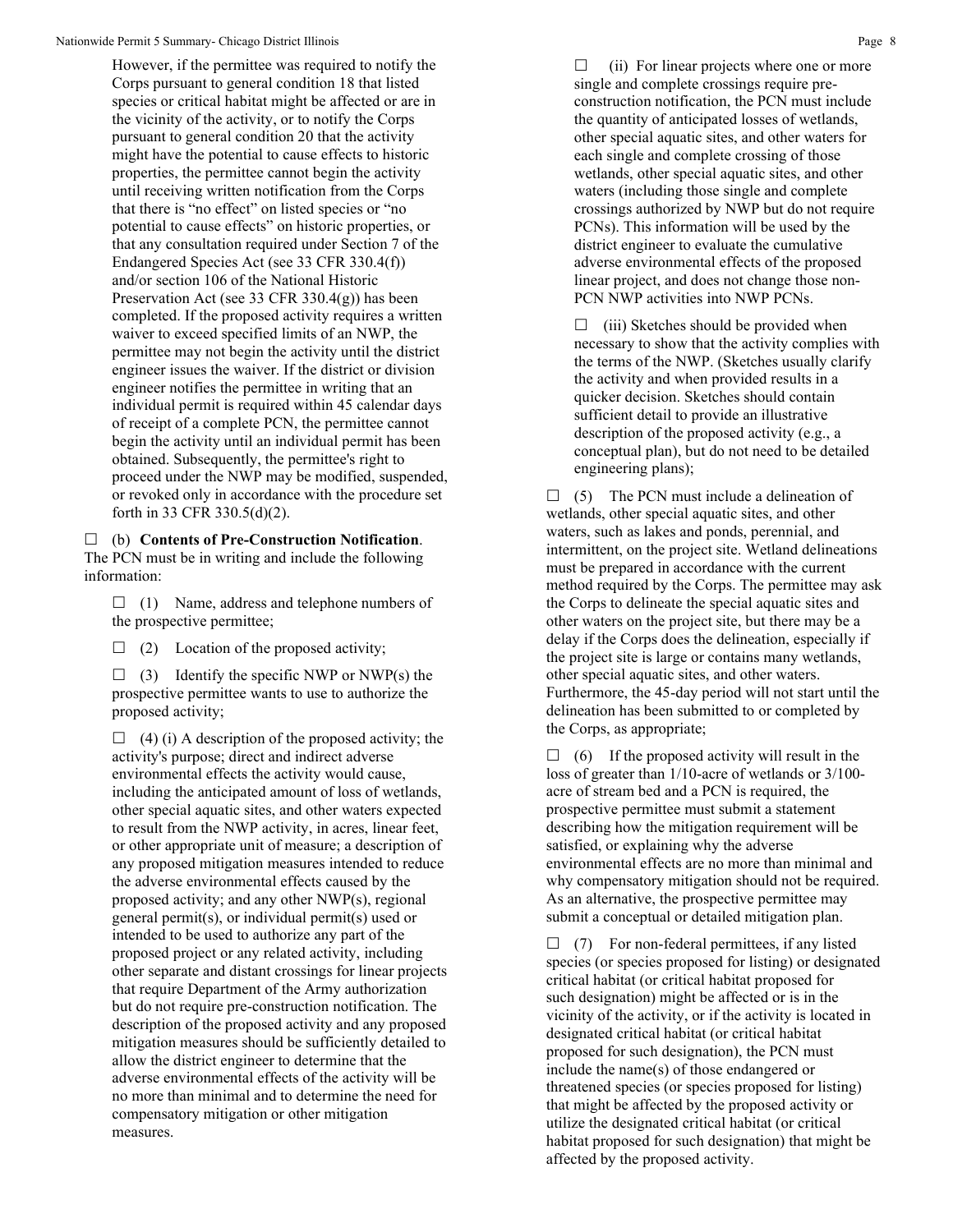Nationwide Permit 5 Summary- Chicago District Illinois **Page 8** 8

However, if the permittee was required to notify the Corps pursuant to general condition 18 that listed species or critical habitat might be affected or are in the vicinity of the activity, or to notify the Corps pursuant to general condition 20 that the activity might have the potential to cause effects to historic properties, the permittee cannot begin the activity until receiving written notification from the Corps that there is "no effect" on listed species or "no potential to cause effects" on historic properties, or that any consultation required under Section 7 of the Endangered Species Act (see 33 CFR 330.4(f)) and/or section 106 of the National Historic Preservation Act (see 33 CFR 330.4(g)) has been completed. If the proposed activity requires a written waiver to exceed specified limits of an NWP, the permittee may not begin the activity until the district engineer issues the waiver. If the district or division engineer notifies the permittee in writing that an individual permit is required within 45 calendar days of receipt of a complete PCN, the permittee cannot begin the activity until an individual permit has been obtained. Subsequently, the permittee's right to proceed under the NWP may be modified, suspended, or revoked only in accordance with the procedure set forth in 33 CFR 330.5(d)(2).

 (b) **Contents of Pre-Construction Notification**. The PCN must be in writing and include the following information:

 $\Box$  (1) Name, address and telephone numbers of the prospective permittee;

 $\Box$  (2) Location of the proposed activity;

 $\Box$  (3) Identify the specific NWP or NWP(s) the prospective permittee wants to use to authorize the proposed activity;

 $\Box$  (4) (i) A description of the proposed activity; the activity's purpose; direct and indirect adverse environmental effects the activity would cause, including the anticipated amount of loss of wetlands, other special aquatic sites, and other waters expected to result from the NWP activity, in acres, linear feet, or other appropriate unit of measure; a description of any proposed mitigation measures intended to reduce the adverse environmental effects caused by the proposed activity; and any other NWP(s), regional general permit(s), or individual permit(s) used or intended to be used to authorize any part of the proposed project or any related activity, including other separate and distant crossings for linear projects that require Department of the Army authorization but do not require pre-construction notification. The description of the proposed activity and any proposed mitigation measures should be sufficiently detailed to allow the district engineer to determine that the adverse environmental effects of the activity will be no more than minimal and to determine the need for compensatory mitigation or other mitigation measures.

 $\Box$  (ii) For linear projects where one or more single and complete crossings require preconstruction notification, the PCN must include the quantity of anticipated losses of wetlands, other special aquatic sites, and other waters for each single and complete crossing of those wetlands, other special aquatic sites, and other waters (including those single and complete crossings authorized by NWP but do not require PCNs). This information will be used by the district engineer to evaluate the cumulative adverse environmental effects of the proposed linear project, and does not change those non-PCN NWP activities into NWP PCNs.

 $\Box$  (iii) Sketches should be provided when necessary to show that the activity complies with the terms of the NWP. (Sketches usually clarify the activity and when provided results in a quicker decision. Sketches should contain sufficient detail to provide an illustrative description of the proposed activity (e.g., a conceptual plan), but do not need to be detailed engineering plans);

 $\Box$  (5) The PCN must include a delineation of wetlands, other special aquatic sites, and other waters, such as lakes and ponds, perennial, and intermittent, on the project site. Wetland delineations must be prepared in accordance with the current method required by the Corps. The permittee may ask the Corps to delineate the special aquatic sites and other waters on the project site, but there may be a delay if the Corps does the delineation, especially if the project site is large or contains many wetlands, other special aquatic sites, and other waters. Furthermore, the 45-day period will not start until the delineation has been submitted to or completed by the Corps, as appropriate;

 $\Box$  (6) If the proposed activity will result in the loss of greater than 1/10-acre of wetlands or 3/100 acre of stream bed and a PCN is required, the prospective permittee must submit a statement describing how the mitigation requirement will be satisfied, or explaining why the adverse environmental effects are no more than minimal and why compensatory mitigation should not be required. As an alternative, the prospective permittee may submit a conceptual or detailed mitigation plan.

 $\Box$  (7) For non-federal permittees, if any listed species (or species proposed for listing) or designated critical habitat (or critical habitat proposed for such designation) might be affected or is in the vicinity of the activity, or if the activity is located in designated critical habitat (or critical habitat proposed for such designation), the PCN must include the name(s) of those endangered or threatened species (or species proposed for listing) that might be affected by the proposed activity or utilize the designated critical habitat (or critical habitat proposed for such designation) that might be affected by the proposed activity.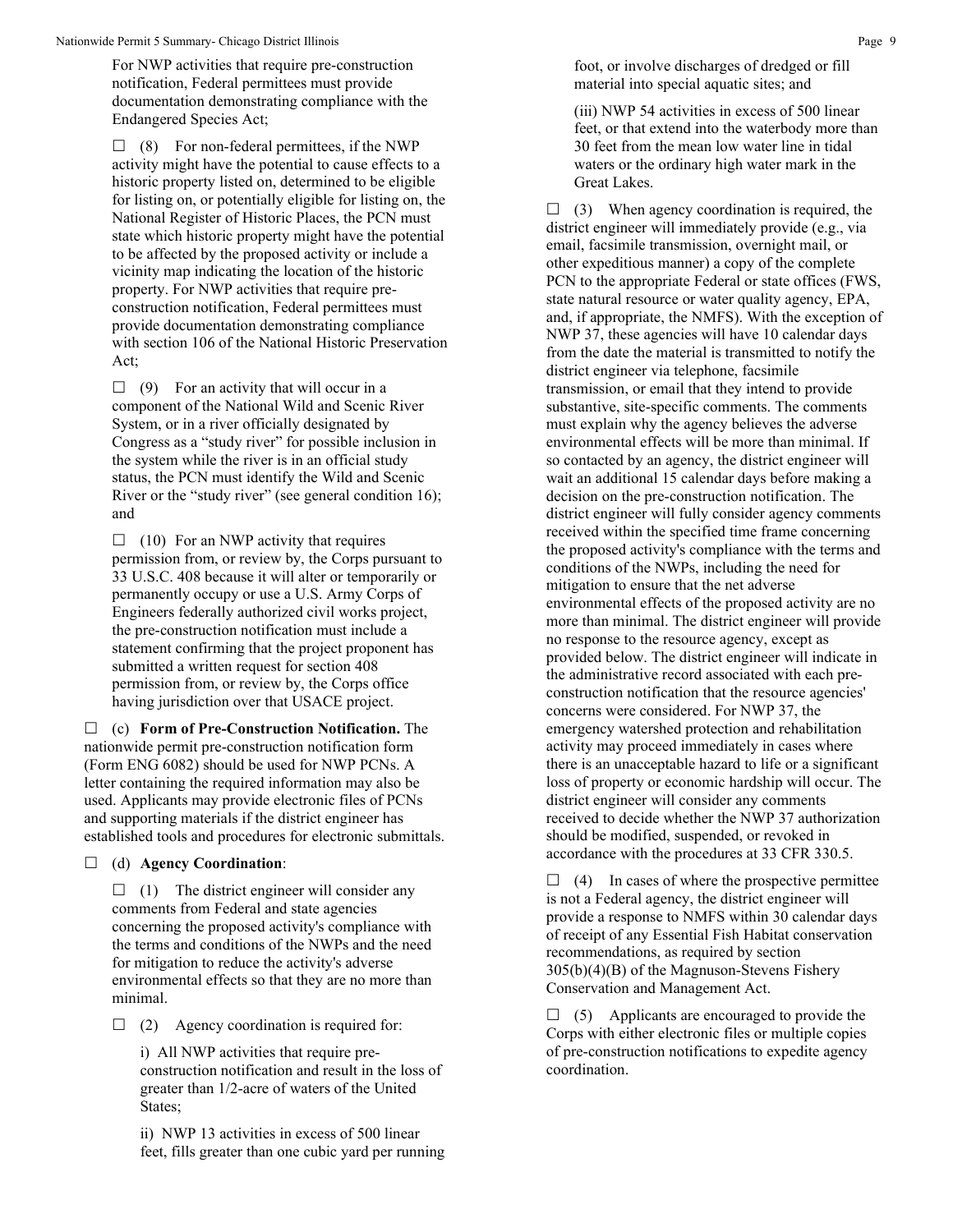For NWP activities that require pre-construction notification, Federal permittees must provide documentation demonstrating compliance with the Endangered Species Act;

 $\Box$  (8) For non-federal permittees, if the NWP activity might have the potential to cause effects to a historic property listed on, determined to be eligible for listing on, or potentially eligible for listing on, the National Register of Historic Places, the PCN must state which historic property might have the potential to be affected by the proposed activity or include a vicinity map indicating the location of the historic property. For NWP activities that require preconstruction notification, Federal permittees must provide documentation demonstrating compliance with section 106 of the National Historic Preservation Act;

 $\Box$  (9) For an activity that will occur in a component of the National Wild and Scenic River System, or in a river officially designated by Congress as a "study river" for possible inclusion in the system while the river is in an official study status, the PCN must identify the Wild and Scenic River or the "study river" (see general condition 16); and

 $\Box$  (10) For an NWP activity that requires permission from, or review by, the Corps pursuant to 33 U.S.C. 408 because it will alter or temporarily or permanently occupy or use a U.S. Army Corps of Engineers federally authorized civil works project, the pre-construction notification must include a statement confirming that the project proponent has submitted a written request for section 408 permission from, or review by, the Corps office having jurisdiction over that USACE project.

 (c) **Form of Pre-Construction Notification.** The nationwide permit pre-construction notification form (Form ENG 6082) should be used for NWP PCNs. A letter containing the required information may also be used. Applicants may provide electronic files of PCNs and supporting materials if the district engineer has established tools and procedures for electronic submittals.

# (d) **Agency Coordination**:

 $\Box$  (1) The district engineer will consider any comments from Federal and state agencies concerning the proposed activity's compliance with the terms and conditions of the NWPs and the need for mitigation to reduce the activity's adverse environmental effects so that they are no more than minimal.

 $\Box$  (2) Agency coordination is required for:

i) All NWP activities that require preconstruction notification and result in the loss of greater than 1/2-acre of waters of the United States;

ii) NWP 13 activities in excess of 500 linear feet, fills greater than one cubic yard per running foot, or involve discharges of dredged or fill material into special aquatic sites; and

(iii) NWP 54 activities in excess of 500 linear feet, or that extend into the waterbody more than 30 feet from the mean low water line in tidal waters or the ordinary high water mark in the Great Lakes.

 $\Box$  (3) When agency coordination is required, the district engineer will immediately provide (e.g., via email, facsimile transmission, overnight mail, or other expeditious manner) a copy of the complete PCN to the appropriate Federal or state offices (FWS, state natural resource or water quality agency, EPA, and, if appropriate, the NMFS). With the exception of NWP 37, these agencies will have 10 calendar days from the date the material is transmitted to notify the district engineer via telephone, facsimile transmission, or email that they intend to provide substantive, site-specific comments. The comments must explain why the agency believes the adverse environmental effects will be more than minimal. If so contacted by an agency, the district engineer will wait an additional 15 calendar days before making a decision on the pre-construction notification. The district engineer will fully consider agency comments received within the specified time frame concerning the proposed activity's compliance with the terms and conditions of the NWPs, including the need for mitigation to ensure that the net adverse environmental effects of the proposed activity are no more than minimal. The district engineer will provide no response to the resource agency, except as provided below. The district engineer will indicate in the administrative record associated with each preconstruction notification that the resource agencies' concerns were considered. For NWP 37, the emergency watershed protection and rehabilitation activity may proceed immediately in cases where there is an unacceptable hazard to life or a significant loss of property or economic hardship will occur. The district engineer will consider any comments received to decide whether the NWP 37 authorization should be modified, suspended, or revoked in accordance with the procedures at 33 CFR 330.5.

 $\Box$  (4) In cases of where the prospective permittee is not a Federal agency, the district engineer will provide a response to NMFS within 30 calendar days of receipt of any Essential Fish Habitat conservation recommendations, as required by section 305(b)(4)(B) of the Magnuson-Stevens Fishery Conservation and Management Act.

 $\Box$  (5) Applicants are encouraged to provide the Corps with either electronic files or multiple copies of pre-construction notifications to expedite agency coordination.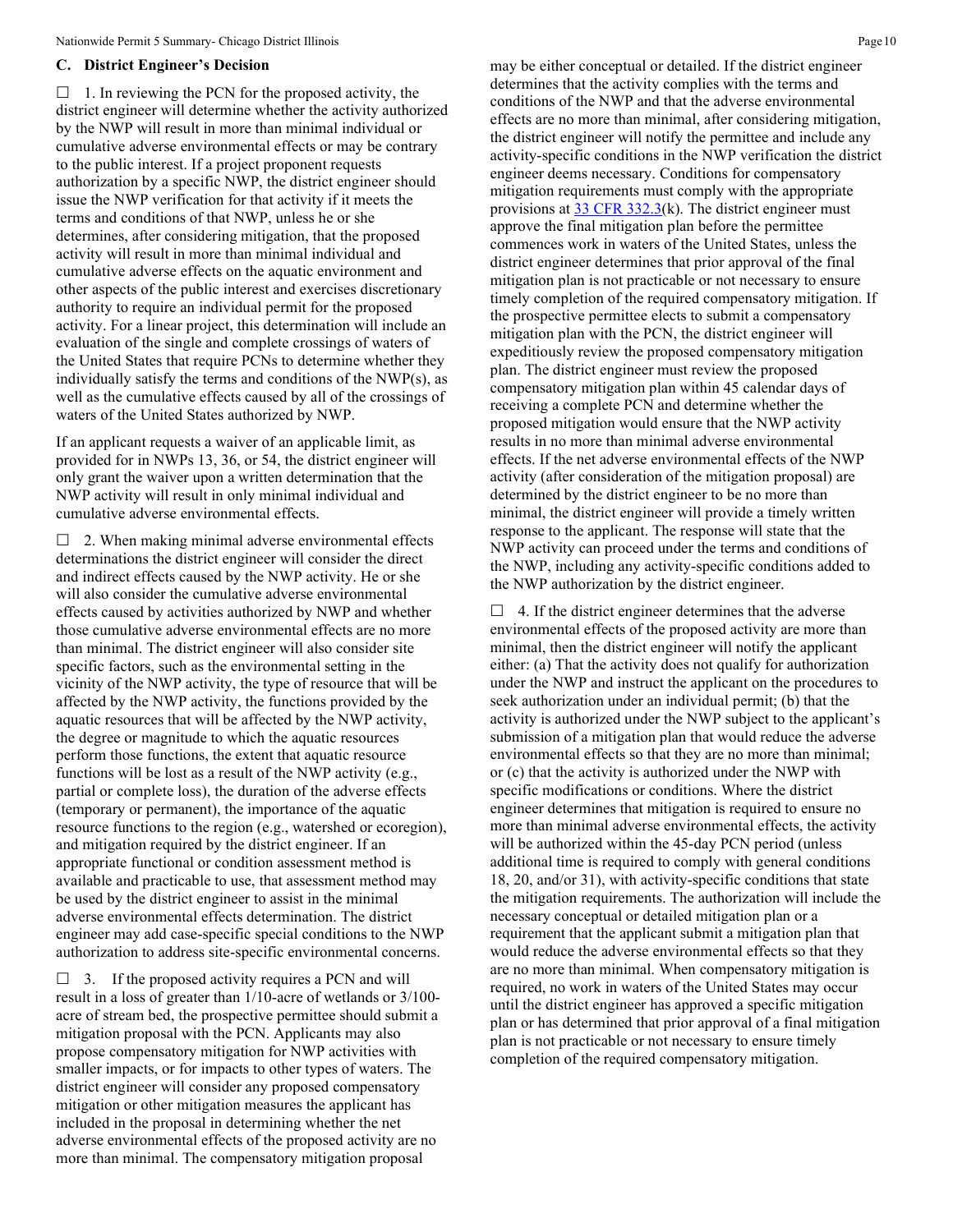#### **C. District Engineer's Decision**

 $\Box$  1. In reviewing the PCN for the proposed activity, the district engineer will determine whether the activity authorized by the NWP will result in more than minimal individual or cumulative adverse environmental effects or may be contrary to the public interest. If a project proponent requests authorization by a specific NWP, the district engineer should issue the NWP verification for that activity if it meets the terms and conditions of that NWP, unless he or she determines, after considering mitigation, that the proposed activity will result in more than minimal individual and cumulative adverse effects on the aquatic environment and other aspects of the public interest and exercises discretionary authority to require an individual permit for the proposed activity. For a linear project, this determination will include an evaluation of the single and complete crossings of waters of the United States that require PCNs to determine whether they individually satisfy the terms and conditions of the NWP(s), as well as the cumulative effects caused by all of the crossings of waters of the United States authorized by NWP.

If an applicant requests a waiver of an applicable limit, as provided for in NWPs 13, 36, or 54, the district engineer will only grant the waiver upon a written determination that the NWP activity will result in only minimal individual and cumulative adverse environmental effects.

 $\Box$  2. When making minimal adverse environmental effects determinations the district engineer will consider the direct and indirect effects caused by the NWP activity. He or she will also consider the cumulative adverse environmental effects caused by activities authorized by NWP and whether those cumulative adverse environmental effects are no more than minimal. The district engineer will also consider site specific factors, such as the environmental setting in the vicinity of the NWP activity, the type of resource that will be affected by the NWP activity, the functions provided by the aquatic resources that will be affected by the NWP activity, the degree or magnitude to which the aquatic resources perform those functions, the extent that aquatic resource functions will be lost as a result of the NWP activity (e.g., partial or complete loss), the duration of the adverse effects (temporary or permanent), the importance of the aquatic resource functions to the region (e.g., watershed or ecoregion), and mitigation required by the district engineer. If an appropriate functional or condition assessment method is available and practicable to use, that assessment method may be used by the district engineer to assist in the minimal adverse environmental effects determination. The district engineer may add case-specific special conditions to the NWP authorization to address site-specific environmental concerns.

 $\Box$  3. If the proposed activity requires a PCN and will result in a loss of greater than 1/10-acre of wetlands or 3/100 acre of stream bed, the prospective permittee should submit a mitigation proposal with the PCN. Applicants may also propose compensatory mitigation for NWP activities with smaller impacts, or for impacts to other types of waters. The district engineer will consider any proposed compensatory mitigation or other mitigation measures the applicant has included in the proposal in determining whether the net adverse environmental effects of the proposed activity are no more than minimal. The compensatory mitigation proposal

may be either conceptual or detailed. If the district engineer determines that the activity complies with the terms and conditions of the NWP and that the adverse environmental effects are no more than minimal, after considering mitigation, the district engineer will notify the permittee and include any activity-specific conditions in the NWP verification the district engineer deems necessary. Conditions for compensatory mitigation requirements must comply with the appropriate provisions at [33 CFR 332.3\(](https://www.federalregister.gov/select-citation/2021/01/13/33-CFR-332.3)k). The district engineer must approve the final mitigation plan before the permittee commences work in waters of the United States, unless the district engineer determines that prior approval of the final mitigation plan is not practicable or not necessary to ensure timely completion of the required compensatory mitigation. If the prospective permittee elects to submit a compensatory mitigation plan with the PCN, the district engineer will expeditiously review the proposed compensatory mitigation plan. The district engineer must review the proposed compensatory mitigation plan within 45 calendar days of receiving a complete PCN and determine whether the proposed mitigation would ensure that the NWP activity results in no more than minimal adverse environmental effects. If the net adverse environmental effects of the NWP activity (after consideration of the mitigation proposal) are determined by the district engineer to be no more than minimal, the district engineer will provide a timely written response to the applicant. The response will state that the NWP activity can proceed under the terms and conditions of the NWP, including any activity-specific conditions added to the NWP authorization by the district engineer.

 $\Box$  4. If the district engineer determines that the adverse environmental effects of the proposed activity are more than minimal, then the district engineer will notify the applicant either: (a) That the activity does not qualify for authorization under the NWP and instruct the applicant on the procedures to seek authorization under an individual permit; (b) that the activity is authorized under the NWP subject to the applicant's submission of a mitigation plan that would reduce the adverse environmental effects so that they are no more than minimal; or (c) that the activity is authorized under the NWP with specific modifications or conditions. Where the district engineer determines that mitigation is required to ensure no more than minimal adverse environmental effects, the activity will be authorized within the 45-day PCN period (unless additional time is required to comply with general conditions 18, 20, and/or 31), with activity-specific conditions that state the mitigation requirements. The authorization will include the necessary conceptual or detailed mitigation plan or a requirement that the applicant submit a mitigation plan that would reduce the adverse environmental effects so that they are no more than minimal. When compensatory mitigation is required, no work in waters of the United States may occur until the district engineer has approved a specific mitigation plan or has determined that prior approval of a final mitigation plan is not practicable or not necessary to ensure timely completion of the required compensatory mitigation.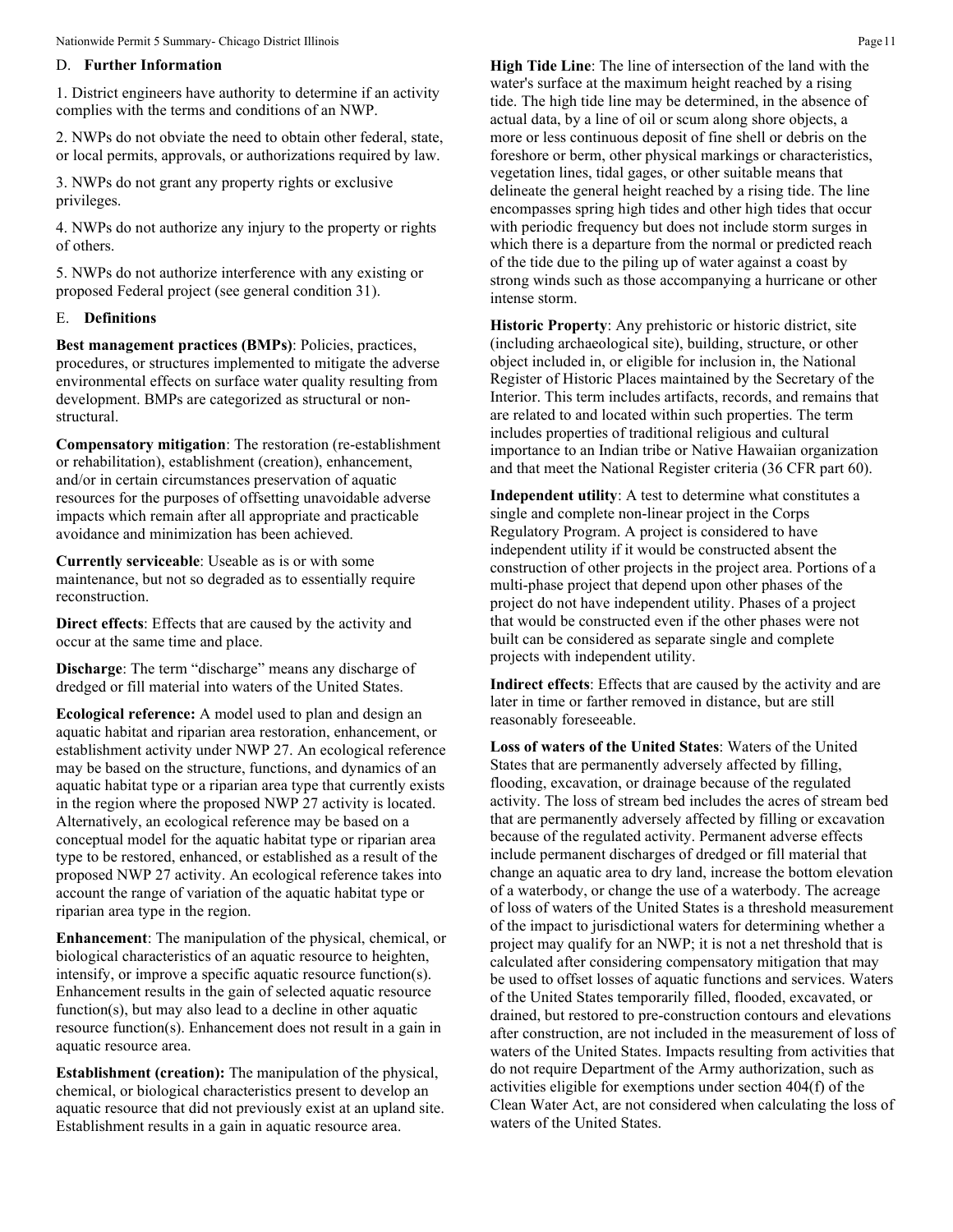# D. **Further Information**

1. District engineers have authority to determine if an activity complies with the terms and conditions of an NWP.

2. NWPs do not obviate the need to obtain other federal, state, or local permits, approvals, or authorizations required by law.

3. NWPs do not grant any property rights or exclusive privileges.

4. NWPs do not authorize any injury to the property or rights of others.

5. NWPs do not authorize interference with any existing or proposed Federal project (see general condition 31).

# E. **Definitions**

**Best management practices (BMPs)**: Policies, practices, procedures, or structures implemented to mitigate the adverse environmental effects on surface water quality resulting from development. BMPs are categorized as structural or nonstructural.

**Compensatory mitigation**: The restoration (re-establishment or rehabilitation), establishment (creation), enhancement, and/or in certain circumstances preservation of aquatic resources for the purposes of offsetting unavoidable adverse impacts which remain after all appropriate and practicable avoidance and minimization has been achieved.

**Currently serviceable**: Useable as is or with some maintenance, but not so degraded as to essentially require reconstruction.

**Direct effects**: Effects that are caused by the activity and occur at the same time and place.

**Discharge**: The term "discharge" means any discharge of dredged or fill material into waters of the United States.

**Ecological reference:** A model used to plan and design an aquatic habitat and riparian area restoration, enhancement, or establishment activity under NWP 27. An ecological reference may be based on the structure, functions, and dynamics of an aquatic habitat type or a riparian area type that currently exists in the region where the proposed NWP 27 activity is located. Alternatively, an ecological reference may be based on a conceptual model for the aquatic habitat type or riparian area type to be restored, enhanced, or established as a result of the proposed NWP 27 activity. An ecological reference takes into account the range of variation of the aquatic habitat type or riparian area type in the region.

**Enhancement**: The manipulation of the physical, chemical, or biological characteristics of an aquatic resource to heighten, intensify, or improve a specific aquatic resource function(s). Enhancement results in the gain of selected aquatic resource function(s), but may also lead to a decline in other aquatic resource function(s). Enhancement does not result in a gain in aquatic resource area.

**Establishment (creation):** The manipulation of the physical, chemical, or biological characteristics present to develop an aquatic resource that did not previously exist at an upland site. Establishment results in a gain in aquatic resource area.

**High Tide Line**: The line of intersection of the land with the water's surface at the maximum height reached by a rising tide. The high tide line may be determined, in the absence of actual data, by a line of oil or scum along shore objects, a more or less continuous deposit of fine shell or debris on the foreshore or berm, other physical markings or characteristics, vegetation lines, tidal gages, or other suitable means that delineate the general height reached by a rising tide. The line encompasses spring high tides and other high tides that occur with periodic frequency but does not include storm surges in which there is a departure from the normal or predicted reach of the tide due to the piling up of water against a coast by strong winds such as those accompanying a hurricane or other intense storm.

**Historic Property**: Any prehistoric or historic district, site (including archaeological site), building, structure, or other object included in, or eligible for inclusion in, the National Register of Historic Places maintained by the Secretary of the Interior. This term includes artifacts, records, and remains that are related to and located within such properties. The term includes properties of traditional religious and cultural importance to an Indian tribe or Native Hawaiian organization and that meet the National Register criteria (36 CFR part 60).

**Independent utility**: A test to determine what constitutes a single and complete non-linear project in the Corps Regulatory Program. A project is considered to have independent utility if it would be constructed absent the construction of other projects in the project area. Portions of a multi-phase project that depend upon other phases of the project do not have independent utility. Phases of a project that would be constructed even if the other phases were not built can be considered as separate single and complete projects with independent utility.

**Indirect effects**: Effects that are caused by the activity and are later in time or farther removed in distance, but are still reasonably foreseeable.

**Loss of waters of the United States**: Waters of the United States that are permanently adversely affected by filling, flooding, excavation, or drainage because of the regulated activity. The loss of stream bed includes the acres of stream bed that are permanently adversely affected by filling or excavation because of the regulated activity. Permanent adverse effects include permanent discharges of dredged or fill material that change an aquatic area to dry land, increase the bottom elevation of a waterbody, or change the use of a waterbody. The acreage of loss of waters of the United States is a threshold measurement of the impact to jurisdictional waters for determining whether a project may qualify for an NWP; it is not a net threshold that is calculated after considering compensatory mitigation that may be used to offset losses of aquatic functions and services. Waters of the United States temporarily filled, flooded, excavated, or drained, but restored to pre-construction contours and elevations after construction, are not included in the measurement of loss of waters of the United States. Impacts resulting from activities that do not require Department of the Army authorization, such as activities eligible for exemptions under section 404(f) of the Clean Water Act, are not considered when calculating the loss of waters of the United States.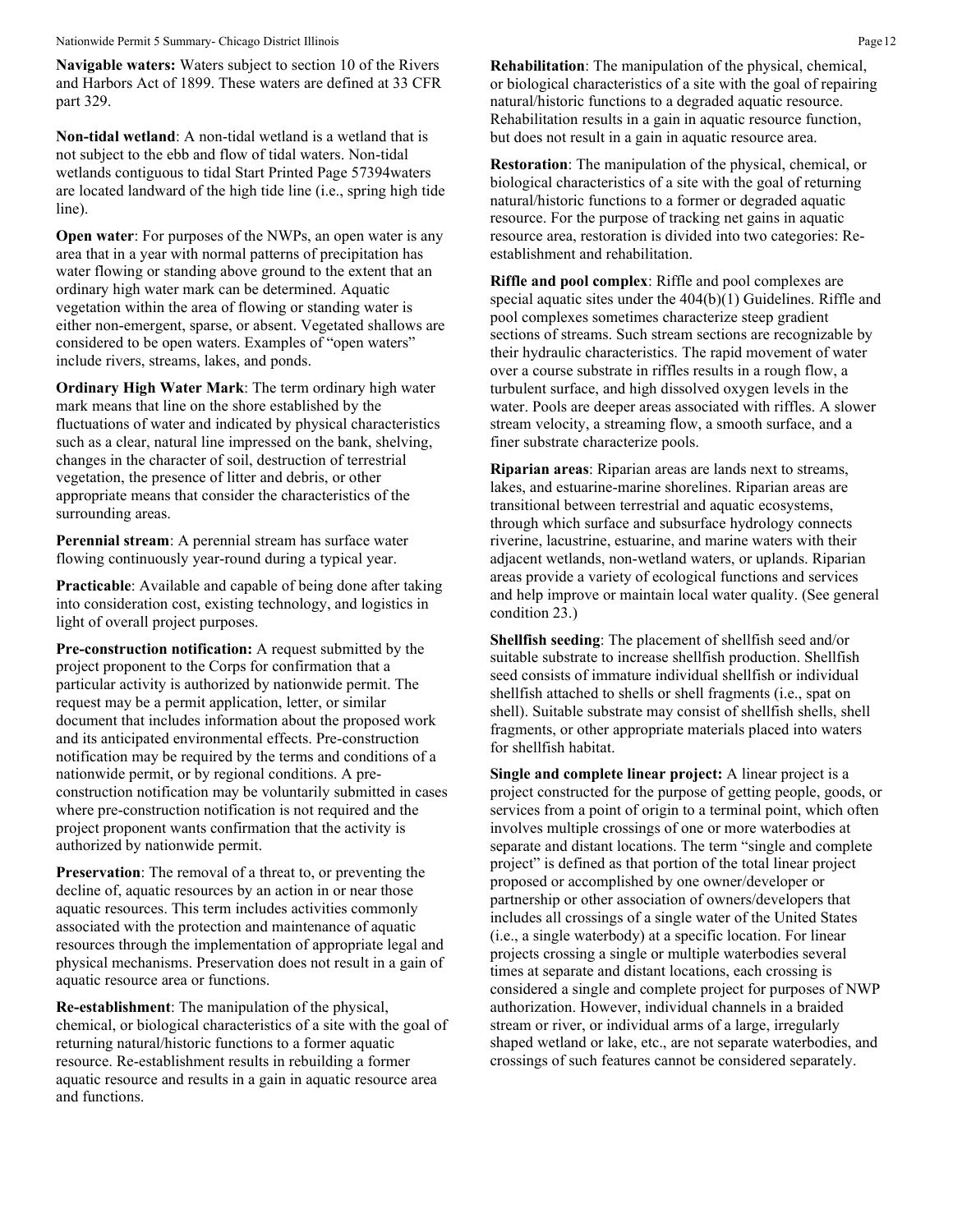Nationwide Permit 5 Summary- Chicago District Illinois **Page 12** Page 12

**Navigable waters:** Waters subject to section 10 of the Rivers and Harbors Act of 1899. These waters are defined at 33 CFR part 329.

**Non-tidal wetland**: A non-tidal wetland is a wetland that is not subject to the ebb and flow of tidal waters. Non-tidal wetlands contiguous to tidal Start Printed Page 57394waters are located landward of the high tide line (i.e., spring high tide line).

**Open water:** For purposes of the NWPs, an open water is any area that in a year with normal patterns of precipitation has water flowing or standing above ground to the extent that an ordinary high water mark can be determined. Aquatic vegetation within the area of flowing or standing water is either non-emergent, sparse, or absent. Vegetated shallows are considered to be open waters. Examples of "open waters" include rivers, streams, lakes, and ponds.

**Ordinary High Water Mark**: The term ordinary high water mark means that line on the shore established by the fluctuations of water and indicated by physical characteristics such as a clear, natural line impressed on the bank, shelving, changes in the character of soil, destruction of terrestrial vegetation, the presence of litter and debris, or other appropriate means that consider the characteristics of the surrounding areas.

**Perennial stream**: A perennial stream has surface water flowing continuously year-round during a typical year.

**Practicable:** Available and capable of being done after taking into consideration cost, existing technology, and logistics in light of overall project purposes.

**Pre-construction notification:** A request submitted by the project proponent to the Corps for confirmation that a particular activity is authorized by nationwide permit. The request may be a permit application, letter, or similar document that includes information about the proposed work and its anticipated environmental effects. Pre-construction notification may be required by the terms and conditions of a nationwide permit, or by regional conditions. A preconstruction notification may be voluntarily submitted in cases where pre-construction notification is not required and the project proponent wants confirmation that the activity is authorized by nationwide permit.

**Preservation**: The removal of a threat to, or preventing the decline of, aquatic resources by an action in or near those aquatic resources. This term includes activities commonly associated with the protection and maintenance of aquatic resources through the implementation of appropriate legal and physical mechanisms. Preservation does not result in a gain of aquatic resource area or functions.

**Re-establishment**: The manipulation of the physical, chemical, or biological characteristics of a site with the goal of returning natural/historic functions to a former aquatic resource. Re-establishment results in rebuilding a former aquatic resource and results in a gain in aquatic resource area and functions.

**Rehabilitation**: The manipulation of the physical, chemical, or biological characteristics of a site with the goal of repairing natural/historic functions to a degraded aquatic resource. Rehabilitation results in a gain in aquatic resource function, but does not result in a gain in aquatic resource area.

**Restoration**: The manipulation of the physical, chemical, or biological characteristics of a site with the goal of returning natural/historic functions to a former or degraded aquatic resource. For the purpose of tracking net gains in aquatic resource area, restoration is divided into two categories: Reestablishment and rehabilitation.

**Riffle and pool complex**: Riffle and pool complexes are special aquatic sites under the 404(b)(1) Guidelines. Riffle and pool complexes sometimes characterize steep gradient sections of streams. Such stream sections are recognizable by their hydraulic characteristics. The rapid movement of water over a course substrate in riffles results in a rough flow, a turbulent surface, and high dissolved oxygen levels in the water. Pools are deeper areas associated with riffles. A slower stream velocity, a streaming flow, a smooth surface, and a finer substrate characterize pools.

**Riparian areas**: Riparian areas are lands next to streams, lakes, and estuarine-marine shorelines. Riparian areas are transitional between terrestrial and aquatic ecosystems, through which surface and subsurface hydrology connects riverine, lacustrine, estuarine, and marine waters with their adjacent wetlands, non-wetland waters, or uplands. Riparian areas provide a variety of ecological functions and services and help improve or maintain local water quality. (See general condition 23.)

**Shellfish seeding**: The placement of shellfish seed and/or suitable substrate to increase shellfish production. Shellfish seed consists of immature individual shellfish or individual shellfish attached to shells or shell fragments (i.e., spat on shell). Suitable substrate may consist of shellfish shells, shell fragments, or other appropriate materials placed into waters for shellfish habitat.

**Single and complete linear project:** A linear project is a project constructed for the purpose of getting people, goods, or services from a point of origin to a terminal point, which often involves multiple crossings of one or more waterbodies at separate and distant locations. The term "single and complete project" is defined as that portion of the total linear project proposed or accomplished by one owner/developer or partnership or other association of owners/developers that includes all crossings of a single water of the United States (i.e., a single waterbody) at a specific location. For linear projects crossing a single or multiple waterbodies several times at separate and distant locations, each crossing is considered a single and complete project for purposes of NWP authorization. However, individual channels in a braided stream or river, or individual arms of a large, irregularly shaped wetland or lake, etc., are not separate waterbodies, and crossings of such features cannot be considered separately.